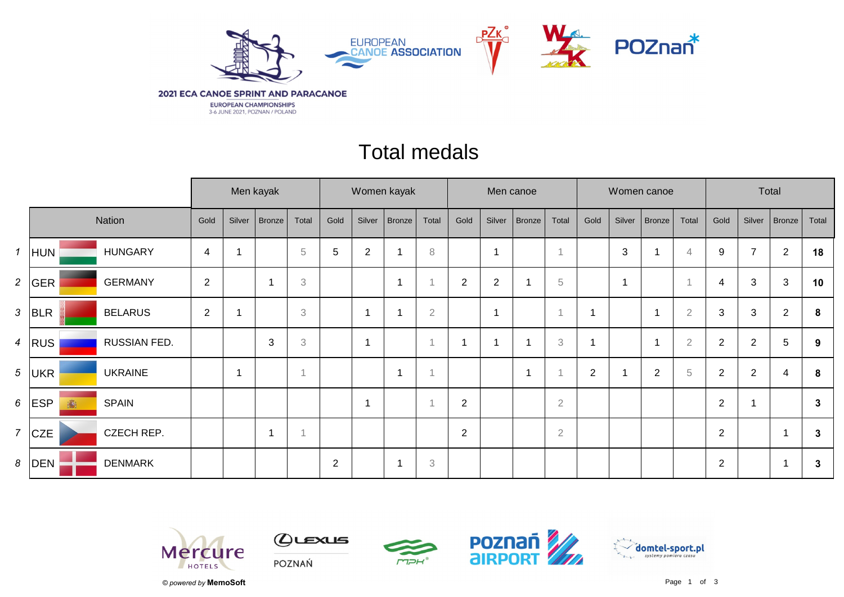

## Total medals

|                |              |                |                |        | Men kayak     |                           | Women kayak |                |               |                |                |            | Men canoe     |                           |      |                         | Women canoe    |                | Total          |                |                |              |
|----------------|--------------|----------------|----------------|--------|---------------|---------------------------|-------------|----------------|---------------|----------------|----------------|------------|---------------|---------------------------|------|-------------------------|----------------|----------------|----------------|----------------|----------------|--------------|
| Nation         |              |                | Gold           | Silver | <b>Bronze</b> | Total                     | Gold        | Silver         | <b>Bronze</b> | Total          | Gold           | Silver     | <b>Bronze</b> | Total                     | Gold | Silver                  | Bronze         | Total          | Gold           | Silver         | Bronze         | Total        |
| $\mathbf{1}$   | <b>HUN</b>   | <b>HUNGARY</b> | $\overline{4}$ |        |               | $\,$ 5 $\,$               | 5           | $\overline{2}$ |               | 8              |                |            |               |                           |      | 3                       | 1              | $\overline{4}$ | 9              | $\overline{7}$ | $\overline{2}$ | 18           |
|                | 2 $ GER $    | <b>GERMANY</b> | $\overline{2}$ |        |               | $\ensuremath{\mathsf{3}}$ |             |                |               |                | $\overline{2}$ | $\sqrt{2}$ |               | $\sqrt{5}$                |      | $\overline{\mathbf{A}}$ |                |                | 4              | 3              | 3              | 10           |
| $\mathbf{3}$   | BLR          | <b>BELARUS</b> | $\overline{2}$ |        |               | 3                         |             | 1              |               | $\overline{2}$ |                |            |               |                           |      |                         | -1             | $\overline{2}$ | 3              | 3              | $\overline{2}$ | 8            |
| $\overline{4}$ | <b>RUS</b>   | RUSSIAN FED.   |                |        | 3             | $\ensuremath{\mathbf{3}}$ |             | $\overline{1}$ |               |                | 1              |            |               | $\ensuremath{\mathsf{3}}$ |      |                         | 1              | $\overline{2}$ | $\overline{2}$ | $\overline{2}$ | 5              | 9            |
|                | $5$ UKR      | <b>UKRAINE</b> |                | 1      |               |                           |             |                |               | $\overline{A}$ |                |            |               |                           | 2    |                         | $\overline{2}$ | $\sqrt{5}$     | $\overline{2}$ | $\overline{2}$ | 4              | 8            |
|                | $6$ ESP<br>高 | <b>SPAIN</b>   |                |        |               |                           |             | $\overline{1}$ |               |                | $\overline{2}$ |            |               | $\sqrt{2}$                |      |                         |                |                | $\sqrt{2}$     |                |                | $\mathbf{3}$ |
| $\overline{7}$ | <b>CZE</b>   | CZECH REP.     |                |        | 1             |                           |             |                |               |                | $\overline{2}$ |            |               | $\sqrt{2}$                |      |                         |                |                | $\sqrt{2}$     |                |                | 3            |
| 8              | DEN          | <b>DENMARK</b> |                |        |               |                           | 2           |                |               | 3              |                |            |               |                           |      |                         |                |                | $\overline{2}$ |                |                | 3            |









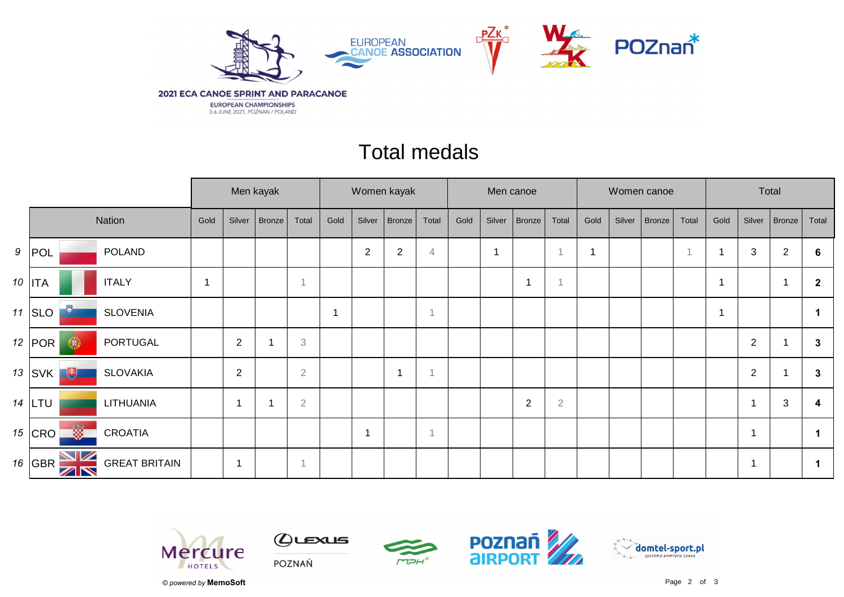

## Total medals

|  |                                            |                      |      | Men kayak      |               |                           |             | Women kayak    |                |                |      | Men canoe                |                |                |      |        | Women canoe |       | Total |                |                  |              |  |
|--|--------------------------------------------|----------------------|------|----------------|---------------|---------------------------|-------------|----------------|----------------|----------------|------|--------------------------|----------------|----------------|------|--------|-------------|-------|-------|----------------|------------------|--------------|--|
|  |                                            | Nation               | Gold | Silver         | <b>Bronze</b> | Total                     | Gold        | Silver         | Bronze         | Total          | Gold | Silver                   | <b>Bronze</b>  | Total          | Gold | Silver | Bronze      | Total | Gold  | Silver         | Bronze           | Total        |  |
|  | 9  POL                                     | <b>POLAND</b>        |      |                |               |                           |             | $\overline{2}$ | $\overline{2}$ | 4              |      | $\overline{\phantom{a}}$ |                | $\overline{1}$ | 1    |        |             |       |       | 3              | $\boldsymbol{2}$ | 6            |  |
|  | 10   ITA                                   | <b>ITALY</b>         | 1    |                |               |                           |             |                |                |                |      |                          |                | $\overline{1}$ |      |        |             |       |       |                | -1               | $\mathbf{2}$ |  |
|  | 11 $ $ SLO                                 | <b>SLOVENIA</b>      |      |                |               |                           | $\mathbf 1$ |                |                | $\overline{1}$ |      |                          |                |                |      |        |             |       |       |                |                  |              |  |
|  | 12 $ $ POR $ $<br>$\bigcirc$               | <b>PORTUGAL</b>      |      | $\overline{2}$ |               | $\ensuremath{\mathbf{3}}$ |             |                |                |                |      |                          |                |                |      |        |             |       |       | $\overline{2}$ |                  | $\mathbf{3}$ |  |
|  | $13$ SVK $^{\dagger}$<br>电                 | <b>SLOVAKIA</b>      |      | $\overline{2}$ |               | $\overline{2}$            |             |                | 1              | $\overline{A}$ |      |                          |                |                |      |        |             |       |       | $\sqrt{2}$     |                  | 3            |  |
|  | $14$ LTU                                   | LITHUANIA            |      |                |               | $\overline{2}$            |             |                |                |                |      |                          | $\overline{2}$ | $\overline{2}$ |      |        |             |       |       | 1              | $\mathbf{3}$     | 4            |  |
|  | <u>W</u><br>15 $ CRO$                      | <b>CROATIA</b>       |      |                |               |                           |             |                |                | $\mathbf{1}$   |      |                          |                |                |      |        |             |       |       | 1              |                  |              |  |
|  | VZ<br>16 $ GBR$<br>$\mathbb{Z} \mathbb{N}$ | <b>GREAT BRITAIN</b> |      | -1             |               |                           |             |                |                |                |      |                          |                |                |      |        |             |       |       | -1             |                  | $\mathbf 1$  |  |